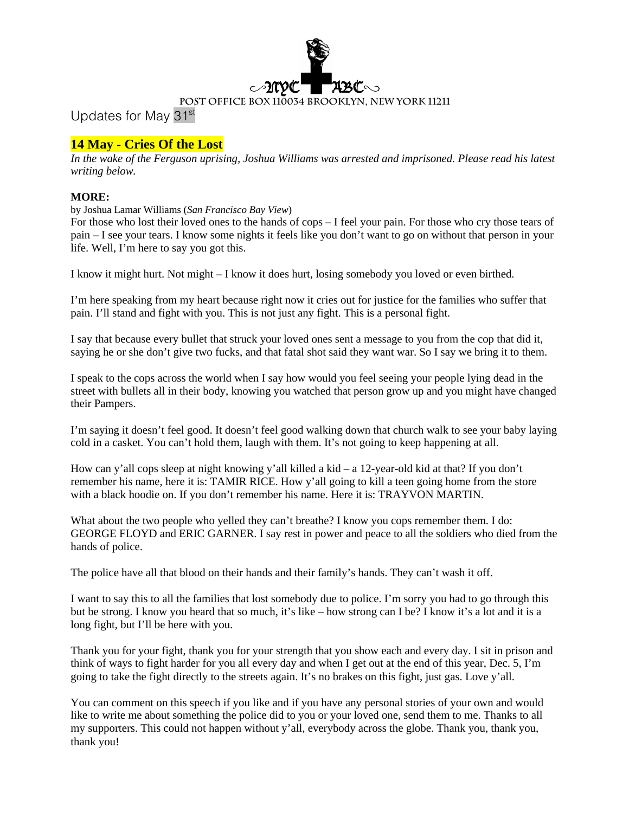

Updates for May 31st

# **14 May - Cries Of the Lost**

*In the wake of the Ferguson uprising, Joshua Williams was arrested and imprisoned. Please read his latest writing below.*

#### **MORE:**

by Joshua Lamar Williams (*San Francisco Bay View*)

For those who lost their loved ones to the hands of cops – I feel your pain. For those who cry those tears of pain – I see your tears. I know some nights it feels like you don't want to go on without that person in your life. Well, I'm here to say you got this.

I know it might hurt. Not might – I know it does hurt, losing somebody you loved or even birthed.

I'm here speaking from my heart because right now it cries out for justice for the families who suffer that pain. I'll stand and fight with you. This is not just any fight. This is a personal fight.

I say that because every bullet that struck your loved ones sent a message to you from the cop that did it, saying he or she don't give two fucks, and that fatal shot said they want war. So I say we bring it to them.

I speak to the cops across the world when I say how would you feel seeing your people lying dead in the street with bullets all in their body, knowing you watched that person grow up and you might have changed their Pampers.

I'm saying it doesn't feel good. It doesn't feel good walking down that church walk to see your baby laying cold in a casket. You can't hold them, laugh with them. It's not going to keep happening at all.

How can y'all cops sleep at night knowing y'all killed a kid – a 12-year-old kid at that? If you don't remember his name, here it is: TAMIR RICE. How y'all going to kill a teen going home from the store with a black hoodie on. If you don't remember his name. Here it is: TRAYVON MARTIN.

What about the two people who yelled they can't breathe? I know you cops remember them. I do: GEORGE FLOYD and ERIC GARNER. I say rest in power and peace to all the soldiers who died from the hands of police.

The police have all that blood on their hands and their family's hands. They can't wash it off.

I want to say this to all the families that lost somebody due to police. I'm sorry you had to go through this but be strong. I know you heard that so much, it's like – how strong can I be? I know it's a lot and it is a long fight, but I'll be here with you.

Thank you for your fight, thank you for your strength that you show each and every day. I sit in prison and think of ways to fight harder for you all every day and when I get out at the end of this year, Dec. 5, I'm going to take the fight directly to the streets again. It's no brakes on this fight, just gas. Love y'all.

You can comment on this speech if you like and if you have any personal stories of your own and would like to write me about something the police did to you or your loved one, send them to me. Thanks to all my supporters. This could not happen without y'all, everybody across the globe. Thank you, thank you, thank you!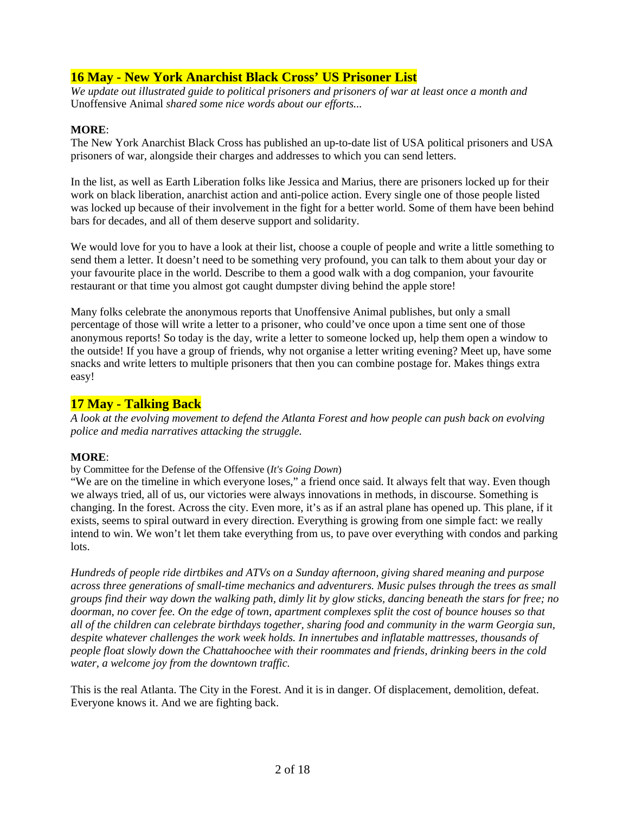# **16 May - New York Anarchist Black Cross' US Prisoner List**

*We update out illustrated guide to political prisoners and prisoners of war at least once a month and*  Unoffensive Animal *shared some nice words about our efforts...*

#### **MORE**:

The New York Anarchist Black Cross has published an up-to-date list of USA political prisoners and USA prisoners of war, alongside their charges and addresses to which you can send letters.

In the list, as well as Earth Liberation folks like Jessica and Marius, there are prisoners locked up for their work on black liberation, anarchist action and anti-police action. Every single one of those people listed was locked up because of their involvement in the fight for a better world. Some of them have been behind bars for decades, and all of them deserve support and solidarity.

We would love for you to have a look at their list, choose a couple of people and write a little something to send them a letter. It doesn't need to be something very profound, you can talk to them about your day or your favourite place in the world. Describe to them a good walk with a dog companion, your favourite restaurant or that time you almost got caught dumpster diving behind the apple store!

Many folks celebrate the anonymous reports that Unoffensive Animal publishes, but only a small percentage of those will write a letter to a prisoner, who could've once upon a time sent one of those anonymous reports! So today is the day, write a letter to someone locked up, help them open a window to the outside! If you have a group of friends, why not organise a letter writing evening? Meet up, have some snacks and write letters to multiple prisoners that then you can combine postage for. Makes things extra easy!

## **17 May - Talking Back**

*A look at the evolving movement to defend the Atlanta Forest and how people can push back on evolving police and media narratives attacking the struggle.*

#### **MORE**:

by Committee for the Defense of the Offensive (*It's Going Down*)

"We are on the timeline in which everyone loses," a friend once said. It always felt that way. Even though we always tried, all of us, our victories were always innovations in methods, in discourse. Something is changing. In the forest. Across the city. Even more, it's as if an astral plane has opened up. This plane, if it exists, seems to spiral outward in every direction. Everything is growing from one simple fact: we really intend to win. We won't let them take everything from us, to pave over everything with condos and parking lots.

*Hundreds of people ride dirtbikes and ATVs on a Sunday afternoon, giving shared meaning and purpose across three generations of small-time mechanics and adventurers. Music pulses through the trees as small groups find their way down the walking path, dimly lit by glow sticks, dancing beneath the stars for free; no doorman, no cover fee. On the edge of town, apartment complexes split the cost of bounce houses so that all of the children can celebrate birthdays together, sharing food and community in the warm Georgia sun, despite whatever challenges the work week holds. In innertubes and inflatable mattresses, thousands of people float slowly down the Chattahoochee with their roommates and friends, drinking beers in the cold water, a welcome joy from the downtown traffic.* 

This is the real Atlanta. The City in the Forest. And it is in danger. Of displacement, demolition, defeat. Everyone knows it. And we are fighting back.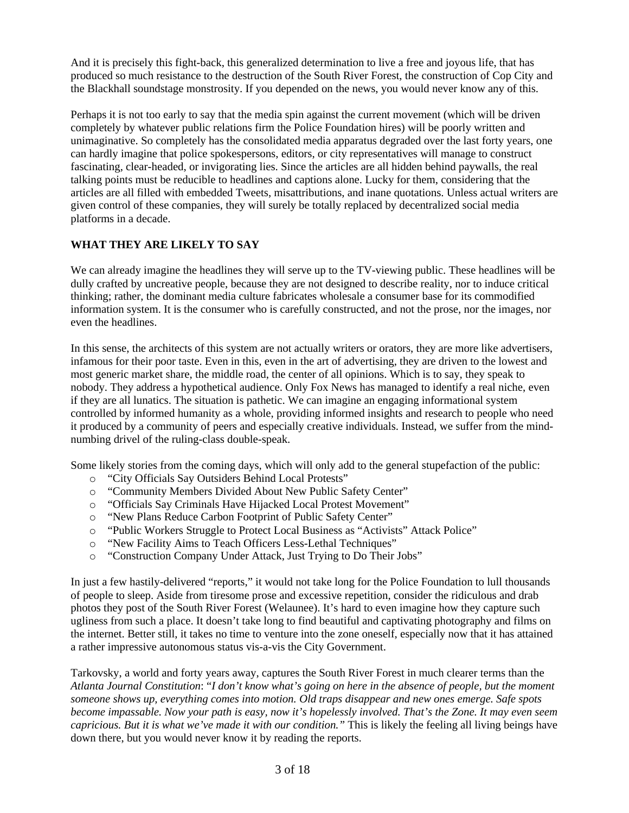And it is precisely this fight-back, this generalized determination to live a free and joyous life, that has produced so much resistance to the destruction of the South River Forest, the construction of Cop City and the Blackhall soundstage monstrosity. If you depended on the news, you would never know any of this.

Perhaps it is not too early to say that the media spin against the current movement (which will be driven completely by whatever public relations firm the Police Foundation hires) will be poorly written and unimaginative. So completely has the consolidated media apparatus degraded over the last forty years, one can hardly imagine that police spokespersons, editors, or city representatives will manage to construct fascinating, clear-headed, or invigorating lies. Since the articles are all hidden behind paywalls, the real talking points must be reducible to headlines and captions alone. Lucky for them, considering that the articles are all filled with embedded Tweets, misattributions, and inane quotations. Unless actual writers are given control of these companies, they will surely be totally replaced by decentralized social media platforms in a decade.

## **WHAT THEY ARE LIKELY TO SAY**

We can already imagine the headlines they will serve up to the TV-viewing public. These headlines will be dully crafted by uncreative people, because they are not designed to describe reality, nor to induce critical thinking; rather, the dominant media culture fabricates wholesale a consumer base for its commodified information system. It is the consumer who is carefully constructed, and not the prose, nor the images, nor even the headlines.

In this sense, the architects of this system are not actually writers or orators, they are more like advertisers, infamous for their poor taste. Even in this, even in the art of advertising, they are driven to the lowest and most generic market share, the middle road, the center of all opinions. Which is to say, they speak to nobody. They address a hypothetical audience. Only Fox News has managed to identify a real niche, even if they are all lunatics. The situation is pathetic. We can imagine an engaging informational system controlled by informed humanity as a whole, providing informed insights and research to people who need it produced by a community of peers and especially creative individuals. Instead, we suffer from the mindnumbing drivel of the ruling-class double-speak.

Some likely stories from the coming days, which will only add to the general stupefaction of the public:

- o "City Officials Say Outsiders Behind Local Protests"
- o "Community Members Divided About New Public Safety Center"
- o "Officials Say Criminals Have Hijacked Local Protest Movement"
- o "New Plans Reduce Carbon Footprint of Public Safety Center"
- o "Public Workers Struggle to Protect Local Business as "Activists" Attack Police"
- o "New Facility Aims to Teach Officers Less-Lethal Techniques"
- o "Construction Company Under Attack, Just Trying to Do Their Jobs"

In just a few hastily-delivered "reports," it would not take long for the Police Foundation to lull thousands of people to sleep. Aside from tiresome prose and excessive repetition, consider the ridiculous and drab photos they post of the South River Forest (Welaunee). It's hard to even imagine how they capture such ugliness from such a place. It doesn't take long to find beautiful and captivating photography and films on the internet. Better still, it takes no time to venture into the zone oneself, especially now that it has attained a rather impressive autonomous status vis-a-vis the City Government.

Tarkovsky, a world and forty years away, captures the South River Forest in much clearer terms than the *Atlanta Journal Constitution*: "*I don't know what's going on here in the absence of people, but the moment someone shows up, everything comes into motion. Old traps disappear and new ones emerge. Safe spots become impassable. Now your path is easy, now it's hopelessly involved. That's the Zone. It may even seem capricious. But it is what we've made it with our condition."* This is likely the feeling all living beings have down there, but you would never know it by reading the reports.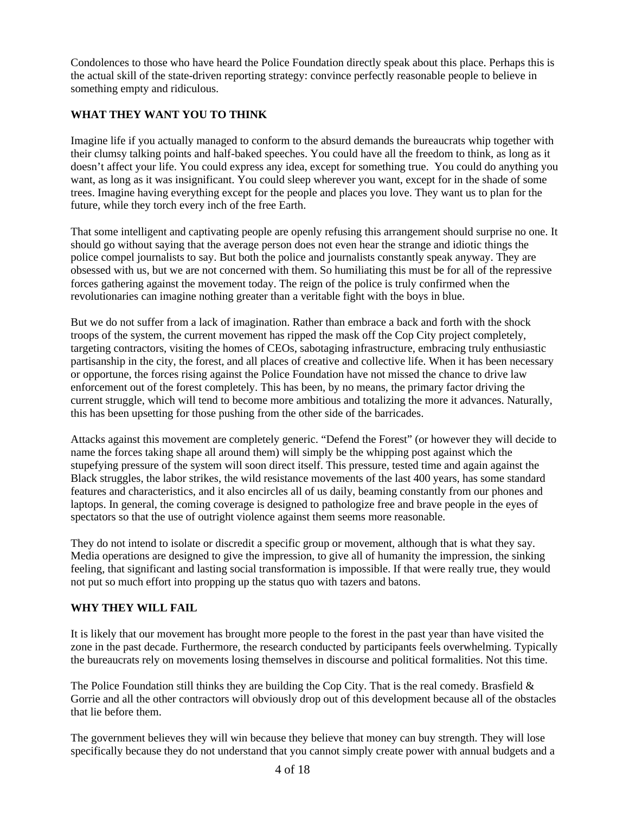Condolences to those who have heard the Police Foundation directly speak about this place. Perhaps this is the actual skill of the state-driven reporting strategy: convince perfectly reasonable people to believe in something empty and ridiculous.

## **WHAT THEY WANT YOU TO THINK**

Imagine life if you actually managed to conform to the absurd demands the bureaucrats whip together with their clumsy talking points and half-baked speeches. You could have all the freedom to think, as long as it doesn't affect your life. You could express any idea, except for something true. You could do anything you want, as long as it was insignificant. You could sleep wherever you want, except for in the shade of some trees. Imagine having everything except for the people and places you love. They want us to plan for the future, while they torch every inch of the free Earth.

That some intelligent and captivating people are openly refusing this arrangement should surprise no one. It should go without saying that the average person does not even hear the strange and idiotic things the police compel journalists to say. But both the police and journalists constantly speak anyway. They are obsessed with us, but we are not concerned with them. So humiliating this must be for all of the repressive forces gathering against the movement today. The reign of the police is truly confirmed when the revolutionaries can imagine nothing greater than a veritable fight with the boys in blue.

But we do not suffer from a lack of imagination. Rather than embrace a back and forth with the shock troops of the system, the current movement has ripped the mask off the Cop City project completely, targeting contractors, visiting the homes of CEOs, sabotaging infrastructure, embracing truly enthusiastic partisanship in the city, the forest, and all places of creative and collective life. When it has been necessary or opportune, the forces rising against the Police Foundation have not missed the chance to drive law enforcement out of the forest completely. This has been, by no means, the primary factor driving the current struggle, which will tend to become more ambitious and totalizing the more it advances. Naturally, this has been upsetting for those pushing from the other side of the barricades.

Attacks against this movement are completely generic. "Defend the Forest" (or however they will decide to name the forces taking shape all around them) will simply be the whipping post against which the stupefying pressure of the system will soon direct itself. This pressure, tested time and again against the Black struggles, the labor strikes, the wild resistance movements of the last 400 years, has some standard features and characteristics, and it also encircles all of us daily, beaming constantly from our phones and laptops. In general, the coming coverage is designed to pathologize free and brave people in the eyes of spectators so that the use of outright violence against them seems more reasonable.

They do not intend to isolate or discredit a specific group or movement, although that is what they say. Media operations are designed to give the impression, to give all of humanity the impression, the sinking feeling, that significant and lasting social transformation is impossible. If that were really true, they would not put so much effort into propping up the status quo with tazers and batons.

#### **WHY THEY WILL FAIL**

It is likely that our movement has brought more people to the forest in the past year than have visited the zone in the past decade. Furthermore, the research conducted by participants feels overwhelming. Typically the bureaucrats rely on movements losing themselves in discourse and political formalities. Not this time.

The Police Foundation still thinks they are building the Cop City. That is the real comedy. Brasfield & Gorrie and all the other contractors will obviously drop out of this development because all of the obstacles that lie before them.

The government believes they will win because they believe that money can buy strength. They will lose specifically because they do not understand that you cannot simply create power with annual budgets and a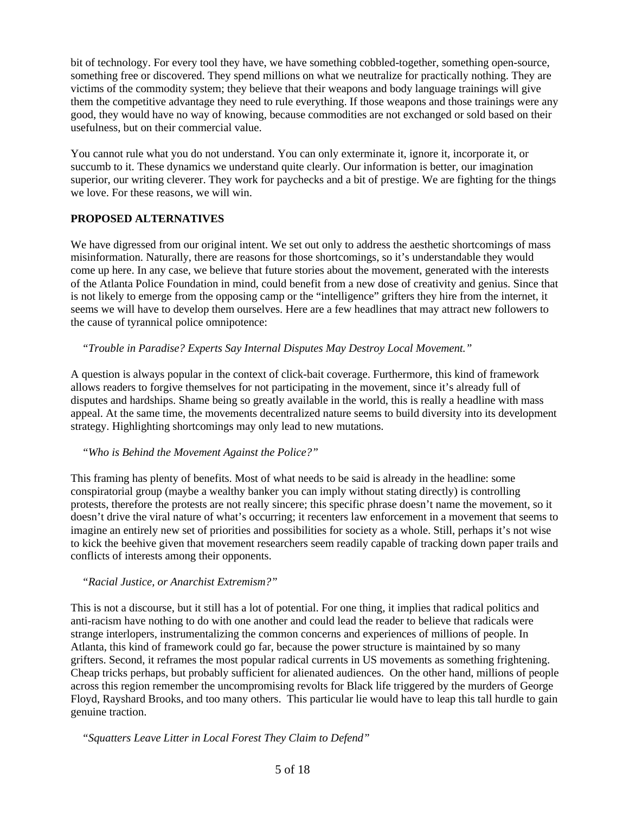bit of technology. For every tool they have, we have something cobbled-together, something open-source, something free or discovered. They spend millions on what we neutralize for practically nothing. They are victims of the commodity system; they believe that their weapons and body language trainings will give them the competitive advantage they need to rule everything. If those weapons and those trainings were any good, they would have no way of knowing, because commodities are not exchanged or sold based on their usefulness, but on their commercial value.

You cannot rule what you do not understand. You can only exterminate it, ignore it, incorporate it, or succumb to it. These dynamics we understand quite clearly. Our information is better, our imagination superior, our writing cleverer. They work for paychecks and a bit of prestige. We are fighting for the things we love. For these reasons, we will win.

#### **PROPOSED ALTERNATIVES**

We have digressed from our original intent. We set out only to address the aesthetic shortcomings of mass misinformation. Naturally, there are reasons for those shortcomings, so it's understandable they would come up here. In any case, we believe that future stories about the movement, generated with the interests of the Atlanta Police Foundation in mind, could benefit from a new dose of creativity and genius. Since that is not likely to emerge from the opposing camp or the "intelligence" grifters they hire from the internet, it seems we will have to develop them ourselves. Here are a few headlines that may attract new followers to the cause of tyrannical police omnipotence:

 *"Trouble in Paradise? Experts Say Internal Disputes May Destroy Local Movement."*

A question is always popular in the context of click-bait coverage. Furthermore, this kind of framework allows readers to forgive themselves for not participating in the movement, since it's already full of disputes and hardships. Shame being so greatly available in the world, this is really a headline with mass appeal. At the same time, the movements decentralized nature seems to build diversity into its development strategy. Highlighting shortcomings may only lead to new mutations.

#### *"Who is Behind the Movement Against the Police?"*

This framing has plenty of benefits. Most of what needs to be said is already in the headline: some conspiratorial group (maybe a wealthy banker you can imply without stating directly) is controlling protests, therefore the protests are not really sincere; this specific phrase doesn't name the movement, so it doesn't drive the viral nature of what's occurring; it recenters law enforcement in a movement that seems to imagine an entirely new set of priorities and possibilities for society as a whole. Still, perhaps it's not wise to kick the beehive given that movement researchers seem readily capable of tracking down paper trails and conflicts of interests among their opponents.

#### *"Racial Justice, or Anarchist Extremism?"*

This is not a discourse, but it still has a lot of potential. For one thing, it implies that radical politics and anti-racism have nothing to do with one another and could lead the reader to believe that radicals were strange interlopers, instrumentalizing the common concerns and experiences of millions of people. In Atlanta, this kind of framework could go far, because the power structure is maintained by so many grifters. Second, it reframes the most popular radical currents in US movements as something frightening. Cheap tricks perhaps, but probably sufficient for alienated audiences. On the other hand, millions of people across this region remember the uncompromising revolts for Black life triggered by the murders of George Floyd, Rayshard Brooks, and too many others. This particular lie would have to leap this tall hurdle to gain genuine traction.

 *"Squatters Leave Litter in Local Forest They Claim to Defend"*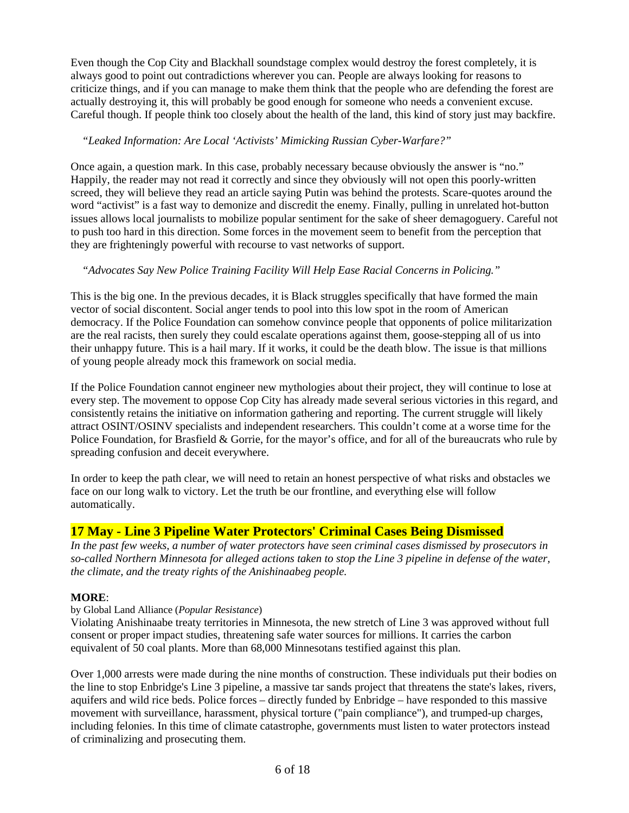Even though the Cop City and Blackhall soundstage complex would destroy the forest completely, it is always good to point out contradictions wherever you can. People are always looking for reasons to criticize things, and if you can manage to make them think that the people who are defending the forest are actually destroying it, this will probably be good enough for someone who needs a convenient excuse. Careful though. If people think too closely about the health of the land, this kind of story just may backfire.

#### *"Leaked Information: Are Local 'Activists' Mimicking Russian Cyber-Warfare?"*

Once again, a question mark. In this case, probably necessary because obviously the answer is "no." Happily, the reader may not read it correctly and since they obviously will not open this poorly-written screed, they will believe they read an article saying Putin was behind the protests. Scare-quotes around the word "activist" is a fast way to demonize and discredit the enemy. Finally, pulling in unrelated hot-button issues allows local journalists to mobilize popular sentiment for the sake of sheer demagoguery. Careful not to push too hard in this direction. Some forces in the movement seem to benefit from the perception that they are frighteningly powerful with recourse to vast networks of support.

## *"Advocates Say New Police Training Facility Will Help Ease Racial Concerns in Policing."*

This is the big one. In the previous decades, it is Black struggles specifically that have formed the main vector of social discontent. Social anger tends to pool into this low spot in the room of American democracy. If the Police Foundation can somehow convince people that opponents of police militarization are the real racists, then surely they could escalate operations against them, goose-stepping all of us into their unhappy future. This is a hail mary. If it works, it could be the death blow. The issue is that millions of young people already mock this framework on social media.

If the Police Foundation cannot engineer new mythologies about their project, they will continue to lose at every step. The movement to oppose Cop City has already made several serious victories in this regard, and consistently retains the initiative on information gathering and reporting. The current struggle will likely attract OSINT/OSINV specialists and independent researchers. This couldn't come at a worse time for the Police Foundation, for Brasfield & Gorrie, for the mayor's office, and for all of the bureaucrats who rule by spreading confusion and deceit everywhere.

In order to keep the path clear, we will need to retain an honest perspective of what risks and obstacles we face on our long walk to victory. Let the truth be our frontline, and everything else will follow automatically.

# **17 May - Line 3 Pipeline Water Protectors' Criminal Cases Being Dismissed**

*In the past few weeks, a number of water protectors have seen criminal cases dismissed by prosecutors in so-called Northern Minnesota for alleged actions taken to stop the Line 3 pipeline in defense of the water, the climate, and the treaty rights of the Anishinaabeg people.*

#### **MORE**:

#### by Global Land Alliance (*Popular Resistance*)

Violating Anishinaabe treaty territories in Minnesota, the new stretch of Line 3 was approved without full consent or proper impact studies, threatening safe water sources for millions. It carries the carbon equivalent of 50 coal plants. More than 68,000 Minnesotans testified against this plan.

Over 1,000 arrests were made during the nine months of construction. These individuals put their bodies on the line to stop Enbridge's Line 3 pipeline, a massive tar sands project that threatens the state's lakes, rivers, aquifers and wild rice beds. Police forces – directly funded by Enbridge – have responded to this massive movement with surveillance, harassment, physical torture ("pain compliance"), and trumped-up charges, including felonies. In this time of climate catastrophe, governments must listen to water protectors instead of criminalizing and prosecuting them.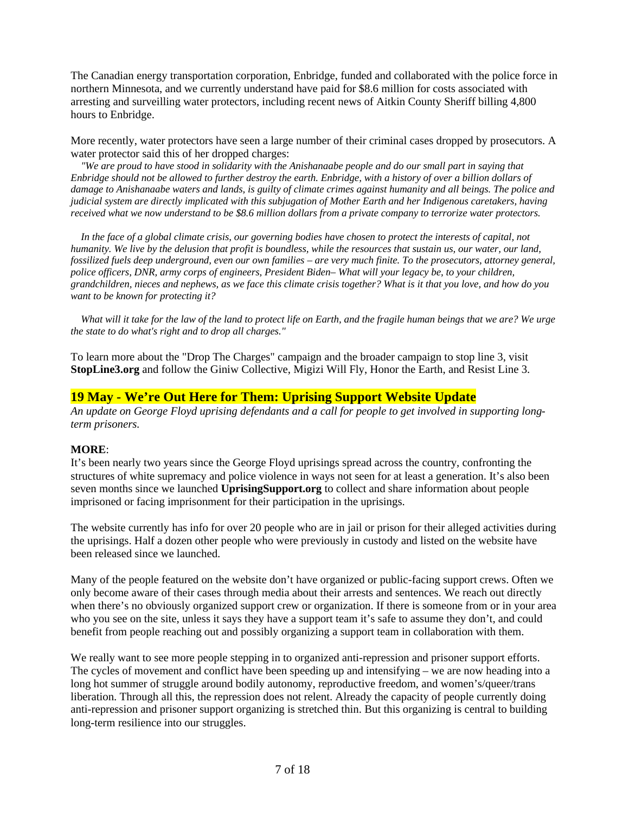The Canadian energy transportation corporation, Enbridge, funded and collaborated with the police force in northern Minnesota, and we currently understand have paid for \$8.6 million for costs associated with arresting and surveilling water protectors, including recent news of Aitkin County Sheriff billing 4,800 hours to Enbridge.

More recently, water protectors have seen a large number of their criminal cases dropped by prosecutors. A water protector said this of her dropped charges:

 *"We are proud to have stood in solidarity with the Anishanaabe people and do our small part in saying that Enbridge should not be allowed to further destroy the earth. Enbridge, with a history of over a billion dollars of damage to Anishanaabe waters and lands, is guilty of climate crimes against humanity and all beings. The police and judicial system are directly implicated with this subjugation of Mother Earth and her Indigenous caretakers, having received what we now understand to be \$8.6 million dollars from a private company to terrorize water protectors.*

 *In the face of a global climate crisis, our governing bodies have chosen to protect the interests of capital, not humanity. We live by the delusion that profit is boundless, while the resources that sustain us, our water, our land, fossilized fuels deep underground, even our own families – are very much finite. To the prosecutors, attorney general, police officers, DNR, army corps of engineers, President Biden– What will your legacy be, to your children, grandchildren, nieces and nephews, as we face this climate crisis together? What is it that you love, and how do you want to be known for protecting it?*

*What will it take for the law of the land to protect life on Earth, and the fragile human beings that we are? We urge the state to do what's right and to drop all charges."*

To learn more about the "Drop The Charges" campaign and the broader campaign to stop line 3, visit **StopLine3.org** and follow the Giniw Collective, Migizi Will Fly, Honor the Earth, and Resist Line 3.

## **19 May - We're Out Here for Them: Uprising Support Website Update**

*An update on George Floyd uprising defendants and a call for people to get involved in supporting longterm prisoners.*

#### **MORE**:

It's been nearly two years since the George Floyd uprisings spread across the country, confronting the structures of white supremacy and police violence in ways not seen for at least a generation. It's also been seven months since we launched **UprisingSupport.org** to collect and share information about people imprisoned or facing imprisonment for their participation in the uprisings.

The website currently has info for over 20 people who are in jail or prison for their alleged activities during the uprisings. Half a dozen other people who were previously in custody and listed on the website have been released since we launched.

Many of the people featured on the website don't have organized or public-facing support crews. Often we only become aware of their cases through media about their arrests and sentences. We reach out directly when there's no obviously organized support crew or organization. If there is someone from or in your area who you see on the site, unless it says they have a support team it's safe to assume they don't, and could benefit from people reaching out and possibly organizing a support team in collaboration with them.

We really want to see more people stepping in to organized anti-repression and prisoner support efforts. The cycles of movement and conflict have been speeding up and intensifying – we are now heading into a long hot summer of struggle around bodily autonomy, reproductive freedom, and women's/queer/trans liberation. Through all this, the repression does not relent. Already the capacity of people currently doing anti-repression and prisoner support organizing is stretched thin. But this organizing is central to building long-term resilience into our struggles.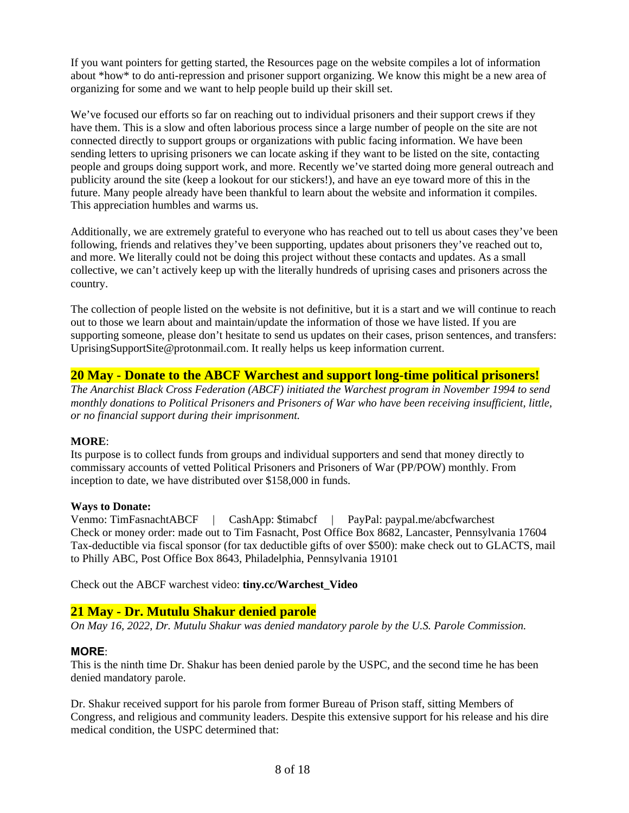If you want pointers for getting started, the Resources page on the website compiles a lot of information about \*how\* to do anti-repression and prisoner support organizing. We know this might be a new area of organizing for some and we want to help people build up their skill set.

We've focused our efforts so far on reaching out to individual prisoners and their support crews if they have them. This is a slow and often laborious process since a large number of people on the site are not connected directly to support groups or organizations with public facing information. We have been sending letters to uprising prisoners we can locate asking if they want to be listed on the site, contacting people and groups doing support work, and more. Recently we've started doing more general outreach and publicity around the site (keep a lookout for our stickers!), and have an eye toward more of this in the future. Many people already have been thankful to learn about the website and information it compiles. This appreciation humbles and warms us.

Additionally, we are extremely grateful to everyone who has reached out to tell us about cases they've been following, friends and relatives they've been supporting, updates about prisoners they've reached out to, and more. We literally could not be doing this project without these contacts and updates. As a small collective, we can't actively keep up with the literally hundreds of uprising cases and prisoners across the country.

The collection of people listed on the website is not definitive, but it is a start and we will continue to reach out to those we learn about and maintain/update the information of those we have listed. If you are supporting someone, please don't hesitate to send us updates on their cases, prison sentences, and transfers: UprisingSupportSite@protonmail.com. It really helps us keep information current.

# **20 May - Donate to the ABCF Warchest and support long-time political prisoners!**

*The Anarchist Black Cross Federation (ABCF) initiated the Warchest program in November 1994 to send monthly donations to Political Prisoners and Prisoners of War who have been receiving insufficient, little, or no financial support during their imprisonment.*

#### **MORE**:

Its purpose is to collect funds from groups and individual supporters and send that money directly to commissary accounts of vetted Political Prisoners and Prisoners of War (PP/POW) monthly. From inception to date, we have distributed over \$158,000 in funds.

#### **Ways to Donate:**

Venmo: TimFasnachtABCF | CashApp: \$timabcf | PayPal: paypal.me/abcfwarchest Check or money order: made out to Tim Fasnacht, Post Office Box 8682, Lancaster, Pennsylvania 17604 Tax-deductible via fiscal sponsor (for tax deductible gifts of over \$500): make check out to GLACTS, mail to Philly ABC, Post Office Box 8643, Philadelphia, Pennsylvania 19101

Check out the ABCF warchest video: **tiny.cc/Warchest\_Video**

# **21 May - Dr. Mutulu Shakur denied parole**

*On May 16, 2022, Dr. Mutulu Shakur was denied mandatory parole by the U.S. Parole Commission.*

#### **MORE**:

This is the ninth time Dr. Shakur has been denied parole by the USPC, and the second time he has been denied mandatory parole.

Dr. Shakur received support for his parole from former Bureau of Prison staff, sitting Members of Congress, and religious and community leaders. Despite this extensive support for his release and his dire medical condition, the USPC determined that: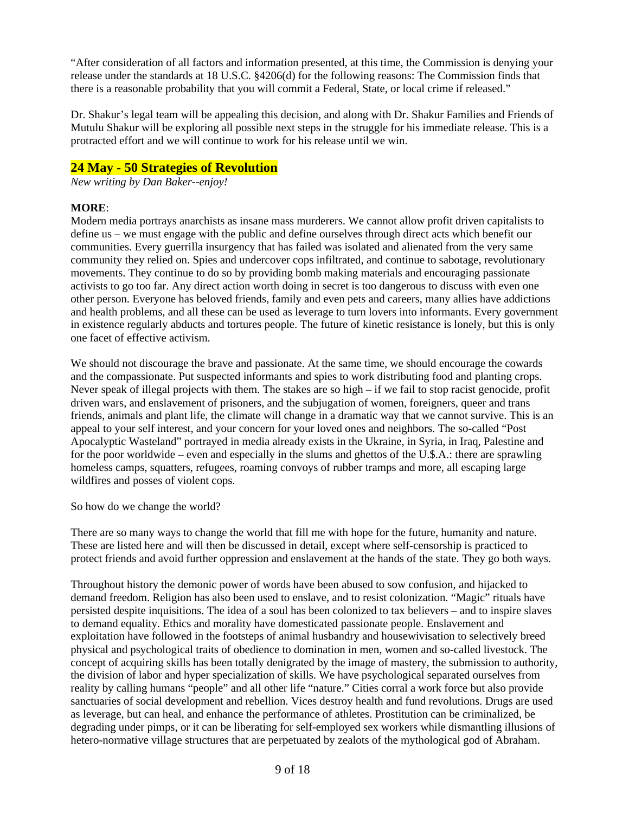"After consideration of all factors and information presented, at this time, the Commission is denying your release under the standards at 18 U.S.C. §4206(d) for the following reasons: The Commission finds that there is a reasonable probability that you will commit a Federal, State, or local crime if released."

Dr. Shakur's legal team will be appealing this decision, and along with Dr. Shakur Families and Friends of Mutulu Shakur will be exploring all possible next steps in the struggle for his immediate release. This is a protracted effort and we will continue to work for his release until we win.

## **24 May - 50 Strategies of Revolution**

*New writing by Dan Baker--enjoy!*

#### **MORE**:

Modern media portrays anarchists as insane mass murderers. We cannot allow profit driven capitalists to define us – we must engage with the public and define ourselves through direct acts which benefit our communities. Every guerrilla insurgency that has failed was isolated and alienated from the very same community they relied on. Spies and undercover cops infiltrated, and continue to sabotage, revolutionary movements. They continue to do so by providing bomb making materials and encouraging passionate activists to go too far. Any direct action worth doing in secret is too dangerous to discuss with even one other person. Everyone has beloved friends, family and even pets and careers, many allies have addictions and health problems, and all these can be used as leverage to turn lovers into informants. Every government in existence regularly abducts and tortures people. The future of kinetic resistance is lonely, but this is only one facet of effective activism.

We should not discourage the brave and passionate. At the same time, we should encourage the cowards and the compassionate. Put suspected informants and spies to work distributing food and planting crops. Never speak of illegal projects with them. The stakes are so high – if we fail to stop racist genocide, profit driven wars, and enslavement of prisoners, and the subjugation of women, foreigners, queer and trans friends, animals and plant life, the climate will change in a dramatic way that we cannot survive. This is an appeal to your self interest, and your concern for your loved ones and neighbors. The so-called "Post Apocalyptic Wasteland" portrayed in media already exists in the Ukraine, in Syria, in Iraq, Palestine and for the poor worldwide – even and especially in the slums and ghettos of the U.\$.A.: there are sprawling homeless camps, squatters, refugees, roaming convoys of rubber tramps and more, all escaping large wildfires and posses of violent cops.

So how do we change the world?

There are so many ways to change the world that fill me with hope for the future, humanity and nature. These are listed here and will then be discussed in detail, except where self-censorship is practiced to protect friends and avoid further oppression and enslavement at the hands of the state. They go both ways.

Throughout history the demonic power of words have been abused to sow confusion, and hijacked to demand freedom. Religion has also been used to enslave, and to resist colonization. "Magic" rituals have persisted despite inquisitions. The idea of a soul has been colonized to tax believers – and to inspire slaves to demand equality. Ethics and morality have domesticated passionate people. Enslavement and exploitation have followed in the footsteps of animal husbandry and housewivisation to selectively breed physical and psychological traits of obedience to domination in men, women and so-called livestock. The concept of acquiring skills has been totally denigrated by the image of mastery, the submission to authority, the division of labor and hyper specialization of skills. We have psychological separated ourselves from reality by calling humans "people" and all other life "nature." Cities corral a work force but also provide sanctuaries of social development and rebellion. Vices destroy health and fund revolutions. Drugs are used as leverage, but can heal, and enhance the performance of athletes. Prostitution can be criminalized, be degrading under pimps, or it can be liberating for self-employed sex workers while dismantling illusions of hetero-normative village structures that are perpetuated by zealots of the mythological god of Abraham.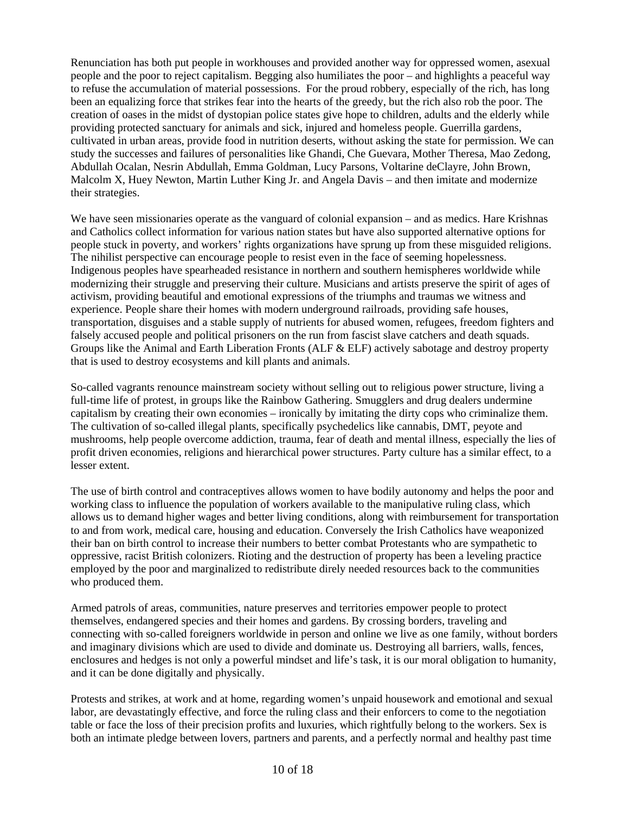Renunciation has both put people in workhouses and provided another way for oppressed women, asexual people and the poor to reject capitalism. Begging also humiliates the poor – and highlights a peaceful way to refuse the accumulation of material possessions. For the proud robbery, especially of the rich, has long been an equalizing force that strikes fear into the hearts of the greedy, but the rich also rob the poor. The creation of oases in the midst of dystopian police states give hope to children, adults and the elderly while providing protected sanctuary for animals and sick, injured and homeless people. Guerrilla gardens, cultivated in urban areas, provide food in nutrition deserts, without asking the state for permission. We can study the successes and failures of personalities like Ghandi, Che Guevara, Mother Theresa, Mao Zedong, Abdullah Ocalan, Nesrin Abdullah, Emma Goldman, Lucy Parsons, Voltarine deClayre, John Brown, Malcolm X, Huey Newton, Martin Luther King Jr. and Angela Davis – and then imitate and modernize their strategies.

We have seen missionaries operate as the vanguard of colonial expansion – and as medics. Hare Krishnas and Catholics collect information for various nation states but have also supported alternative options for people stuck in poverty, and workers' rights organizations have sprung up from these misguided religions. The nihilist perspective can encourage people to resist even in the face of seeming hopelessness. Indigenous peoples have spearheaded resistance in northern and southern hemispheres worldwide while modernizing their struggle and preserving their culture. Musicians and artists preserve the spirit of ages of activism, providing beautiful and emotional expressions of the triumphs and traumas we witness and experience. People share their homes with modern underground railroads, providing safe houses, transportation, disguises and a stable supply of nutrients for abused women, refugees, freedom fighters and falsely accused people and political prisoners on the run from fascist slave catchers and death squads. Groups like the Animal and Earth Liberation Fronts (ALF & ELF) actively sabotage and destroy property that is used to destroy ecosystems and kill plants and animals.

So-called vagrants renounce mainstream society without selling out to religious power structure, living a full-time life of protest, in groups like the Rainbow Gathering. Smugglers and drug dealers undermine capitalism by creating their own economies – ironically by imitating the dirty cops who criminalize them. The cultivation of so-called illegal plants, specifically psychedelics like cannabis, DMT, peyote and mushrooms, help people overcome addiction, trauma, fear of death and mental illness, especially the lies of profit driven economies, religions and hierarchical power structures. Party culture has a similar effect, to a lesser extent.

The use of birth control and contraceptives allows women to have bodily autonomy and helps the poor and working class to influence the population of workers available to the manipulative ruling class, which allows us to demand higher wages and better living conditions, along with reimbursement for transportation to and from work, medical care, housing and education. Conversely the Irish Catholics have weaponized their ban on birth control to increase their numbers to better combat Protestants who are sympathetic to oppressive, racist British colonizers. Rioting and the destruction of property has been a leveling practice employed by the poor and marginalized to redistribute direly needed resources back to the communities who produced them.

Armed patrols of areas, communities, nature preserves and territories empower people to protect themselves, endangered species and their homes and gardens. By crossing borders, traveling and connecting with so-called foreigners worldwide in person and online we live as one family, without borders and imaginary divisions which are used to divide and dominate us. Destroying all barriers, walls, fences, enclosures and hedges is not only a powerful mindset and life's task, it is our moral obligation to humanity, and it can be done digitally and physically.

Protests and strikes, at work and at home, regarding women's unpaid housework and emotional and sexual labor, are devastatingly effective, and force the ruling class and their enforcers to come to the negotiation table or face the loss of their precision profits and luxuries, which rightfully belong to the workers. Sex is both an intimate pledge between lovers, partners and parents, and a perfectly normal and healthy past time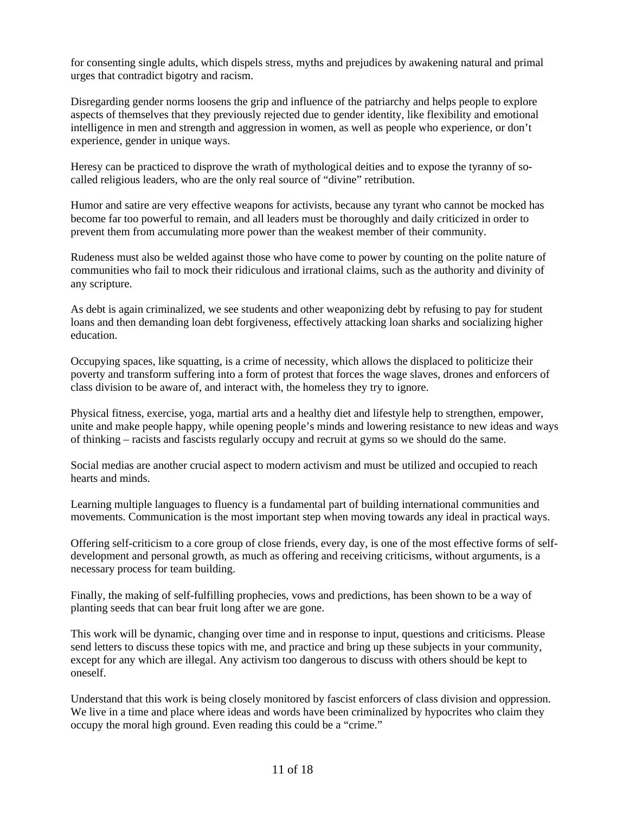for consenting single adults, which dispels stress, myths and prejudices by awakening natural and primal urges that contradict bigotry and racism.

Disregarding gender norms loosens the grip and influence of the patriarchy and helps people to explore aspects of themselves that they previously rejected due to gender identity, like flexibility and emotional intelligence in men and strength and aggression in women, as well as people who experience, or don't experience, gender in unique ways.

Heresy can be practiced to disprove the wrath of mythological deities and to expose the tyranny of socalled religious leaders, who are the only real source of "divine" retribution.

Humor and satire are very effective weapons for activists, because any tyrant who cannot be mocked has become far too powerful to remain, and all leaders must be thoroughly and daily criticized in order to prevent them from accumulating more power than the weakest member of their community.

Rudeness must also be welded against those who have come to power by counting on the polite nature of communities who fail to mock their ridiculous and irrational claims, such as the authority and divinity of any scripture.

As debt is again criminalized, we see students and other weaponizing debt by refusing to pay for student loans and then demanding loan debt forgiveness, effectively attacking loan sharks and socializing higher education.

Occupying spaces, like squatting, is a crime of necessity, which allows the displaced to politicize their poverty and transform suffering into a form of protest that forces the wage slaves, drones and enforcers of class division to be aware of, and interact with, the homeless they try to ignore.

Physical fitness, exercise, yoga, martial arts and a healthy diet and lifestyle help to strengthen, empower, unite and make people happy, while opening people's minds and lowering resistance to new ideas and ways of thinking – racists and fascists regularly occupy and recruit at gyms so we should do the same.

Social medias are another crucial aspect to modern activism and must be utilized and occupied to reach hearts and minds.

Learning multiple languages to fluency is a fundamental part of building international communities and movements. Communication is the most important step when moving towards any ideal in practical ways.

Offering self-criticism to a core group of close friends, every day, is one of the most effective forms of selfdevelopment and personal growth, as much as offering and receiving criticisms, without arguments, is a necessary process for team building.

Finally, the making of self-fulfilling prophecies, vows and predictions, has been shown to be a way of planting seeds that can bear fruit long after we are gone.

This work will be dynamic, changing over time and in response to input, questions and criticisms. Please send letters to discuss these topics with me, and practice and bring up these subjects in your community, except for any which are illegal. Any activism too dangerous to discuss with others should be kept to oneself.

Understand that this work is being closely monitored by fascist enforcers of class division and oppression. We live in a time and place where ideas and words have been criminalized by hypocrites who claim they occupy the moral high ground. Even reading this could be a "crime."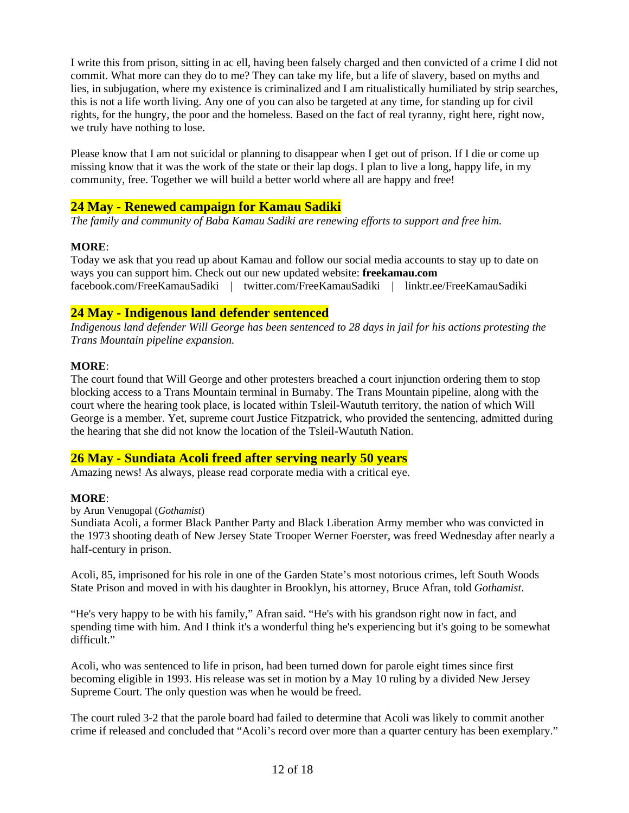I write this from prison, sitting in ac ell, having been falsely charged and then convicted of a crime I did not commit. What more can they do to me? They can take my life, but a life of slavery, based on myths and lies, in subjugation, where my existence is criminalized and I am ritualistically humiliated by strip searches, this is not a life worth living. Any one of you can also be targeted at any time, for standing up for civil rights, for the hungry, the poor and the homeless. Based on the fact of real tyranny, right here, right now, we truly have nothing to lose.

Please know that I am not suicidal or planning to disappear when I get out of prison. If I die or come up missing know that it was the work of the state or their lap dogs. I plan to live a long, happy life, in my community, free. Together we will build a better world where all are happy and free!

# **24 May - Renewed campaign for Kamau Sadiki**

*The family and community of Baba Kamau Sadiki are renewing efforts to support and free him.*

#### **MORE**:

Today we ask that you read up about Kamau and follow our social media accounts to stay up to date on ways you can support him. Check out our new updated website: **freekamau.com** facebook.com/FreeKamauSadiki | twitter.com/FreeKamauSadiki | linktr.ee/FreeKamauSadiki

# **24 May - Indigenous land defender sentenced**

*Indigenous land defender Will George has been sentenced to 28 days in jail for his actions protesting the Trans Mountain pipeline expansion.*

#### **MORE**:

The court found that Will George and other protesters breached a court injunction ordering them to stop blocking access to a Trans Mountain terminal in Burnaby. The Trans Mountain pipeline, along with the court where the hearing took place, is located within Tsleil-Waututh territory, the nation of which Will George is a member. Yet, supreme court Justice Fitzpatrick, who provided the sentencing, admitted during the hearing that she did not know the location of the Tsleil-Waututh Nation.

# **26 May - Sundiata Acoli freed after serving nearly 50 years**

Amazing news! As always, please read corporate media with a critical eye.

#### **MORE**:

by Arun Venugopal (*Gothamist*)

Sundiata Acoli, a former Black Panther Party and Black Liberation Army member who was convicted in the 1973 shooting death of New Jersey State Trooper Werner Foerster, was freed Wednesday after nearly a half-century in prison.

Acoli, 85, imprisoned for his role in one of the Garden State's most notorious crimes, left South Woods State Prison and moved in with his daughter in Brooklyn, his attorney, Bruce Afran, told *Gothamist*.

"He's very happy to be with his family," Afran said. "He's with his grandson right now in fact, and spending time with him. And I think it's a wonderful thing he's experiencing but it's going to be somewhat difficult."

Acoli, who was sentenced to life in prison, had been turned down for parole eight times since first becoming eligible in 1993. His release was set in motion by a May 10 ruling by a divided New Jersey Supreme Court. The only question was when he would be freed.

The court ruled 3-2 that the parole board had failed to determine that Acoli was likely to commit another crime if released and concluded that "Acoli's record over more than a quarter century has been exemplary."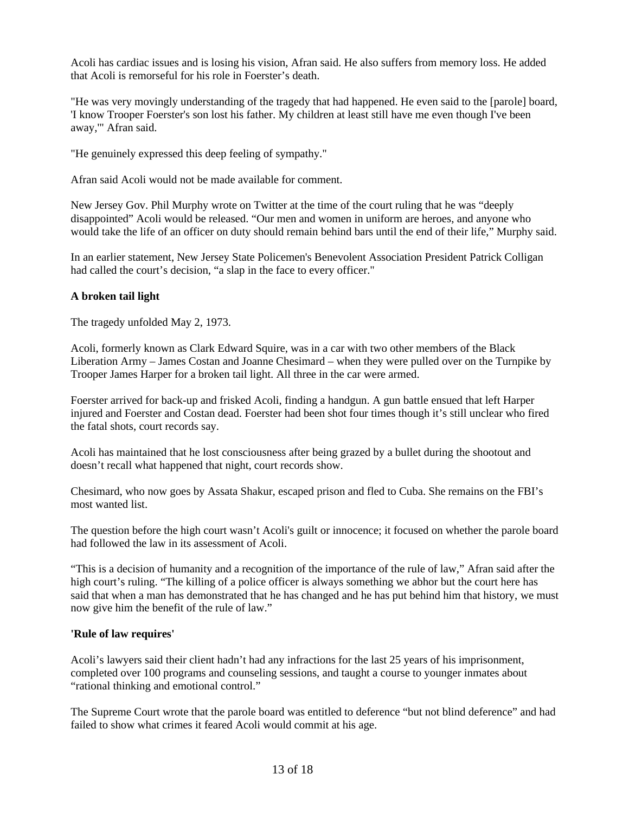Acoli has cardiac issues and is losing his vision, Afran said. He also suffers from memory loss. He added that Acoli is remorseful for his role in Foerster's death.

"He was very movingly understanding of the tragedy that had happened. He even said to the [parole] board, 'I know Trooper Foerster's son lost his father. My children at least still have me even though I've been away,'" Afran said.

"He genuinely expressed this deep feeling of sympathy."

Afran said Acoli would not be made available for comment.

New Jersey Gov. Phil Murphy wrote on Twitter at the time of the court ruling that he was "deeply disappointed" Acoli would be released. "Our men and women in uniform are heroes, and anyone who would take the life of an officer on duty should remain behind bars until the end of their life," Murphy said.

In an earlier statement, New Jersey State Policemen's Benevolent Association President Patrick Colligan had called the court's decision, "a slap in the face to every officer."

#### **A broken tail light**

The tragedy unfolded May 2, 1973.

Acoli, formerly known as Clark Edward Squire, was in a car with two other members of the Black Liberation Army – James Costan and Joanne Chesimard – when they were pulled over on the Turnpike by Trooper James Harper for a broken tail light. All three in the car were armed.

Foerster arrived for back-up and frisked Acoli, finding a handgun. A gun battle ensued that left Harper injured and Foerster and Costan dead. Foerster had been shot four times though it's still unclear who fired the fatal shots, court records say.

Acoli has maintained that he lost consciousness after being grazed by a bullet during the shootout and doesn't recall what happened that night, court records show.

Chesimard, who now goes by Assata Shakur, escaped prison and fled to Cuba. She remains on the FBI's most wanted list.

The question before the high court wasn't Acoli's guilt or innocence; it focused on whether the parole board had followed the law in its assessment of Acoli.

"This is a decision of humanity and a recognition of the importance of the rule of law," Afran said after the high court's ruling. "The killing of a police officer is always something we abhor but the court here has said that when a man has demonstrated that he has changed and he has put behind him that history, we must now give him the benefit of the rule of law."

#### **'Rule of law requires'**

Acoli's lawyers said their client hadn't had any infractions for the last 25 years of his imprisonment, completed over 100 programs and counseling sessions, and taught a course to younger inmates about "rational thinking and emotional control."

The Supreme Court wrote that the parole board was entitled to deference "but not blind deference" and had failed to show what crimes it feared Acoli would commit at his age.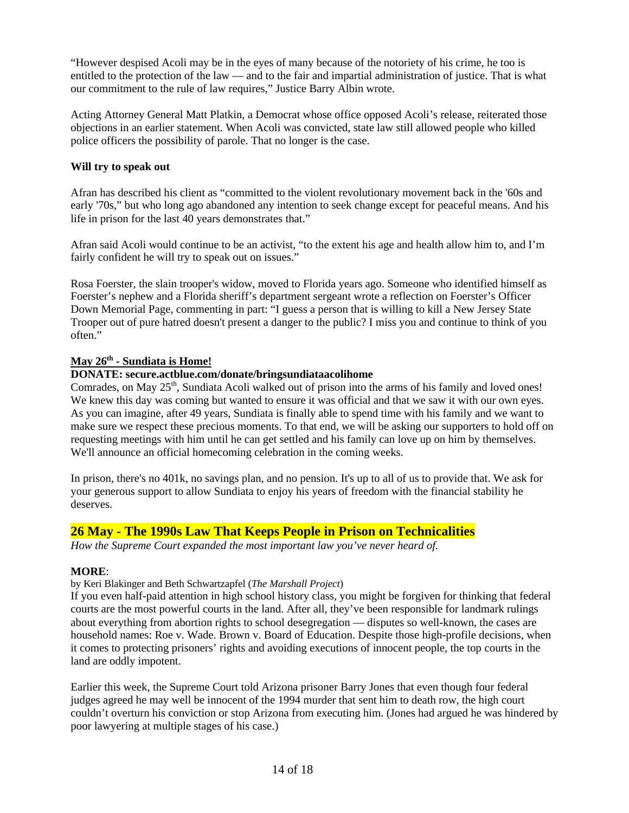"However despised Acoli may be in the eyes of many because of the notoriety of his crime, he too is entitled to the protection of the law — and to the fair and impartial administration of justice. That is what our commitment to the rule of law requires," Justice Barry Albin wrote.

Acting Attorney General Matt Platkin, a Democrat whose office opposed Acoli's release, reiterated those objections in an earlier statement. When Acoli was convicted, state law still allowed people who killed police officers the possibility of parole. That no longer is the case.

#### **Will try to speak out**

Afran has described his client as "committed to the violent revolutionary movement back in the '60s and early '70s," but who long ago abandoned any intention to seek change except for peaceful means. And his life in prison for the last 40 years demonstrates that."

Afran said Acoli would continue to be an activist, "to the extent his age and health allow him to, and I'm fairly confident he will try to speak out on issues."

Rosa Foerster, the slain trooper's widow, moved to Florida years ago. Someone who identified himself as Foerster's nephew and a Florida sheriff's department sergeant wrote a reflection on Foerster's Officer Down Memorial Page, commenting in part: "I guess a person that is willing to kill a New Jersey State Trooper out of pure hatred doesn't present a danger to the public? I miss you and continue to think of you often."

#### **May 26th - Sundiata is Home!**

#### **DONATE: secure.actblue.com/donate/bringsundiataacolihome**

Comrades, on May 25<sup>th</sup>, Sundiata Acoli walked out of prison into the arms of his family and loved ones! We knew this day was coming but wanted to ensure it was official and that we saw it with our own eyes. As you can imagine, after 49 years, Sundiata is finally able to spend time with his family and we want to make sure we respect these precious moments. To that end, we will be asking our supporters to hold off on requesting meetings with him until he can get settled and his family can love up on him by themselves. We'll announce an official homecoming celebration in the coming weeks.

In prison, there's no 401k, no savings plan, and no pension. It's up to all of us to provide that. We ask for your generous support to allow Sundiata to enjoy his years of freedom with the financial stability he deserves.

#### **26 May - The 1990s Law That Keeps People in Prison on Technicalities**

*How the Supreme Court expanded the most important law you've never heard of.*

#### **MORE**:

#### by Keri Blakinger and Beth Schwartzapfel (*The Marshall Project*)

If you even half-paid attention in high school history class, you might be forgiven for thinking that federal courts are the most powerful courts in the land. After all, they've been responsible for landmark rulings about everything from abortion rights to school desegregation — disputes so well-known, the cases are household names: Roe v. Wade. Brown v. Board of Education. Despite those high-profile decisions, when it comes to protecting prisoners' rights and avoiding executions of innocent people, the top courts in the land are oddly impotent.

Earlier this week, the Supreme Court told Arizona prisoner Barry Jones that even though four federal judges agreed he may well be innocent of the 1994 murder that sent him to death row, the high court couldn't overturn his conviction or stop Arizona from executing him. (Jones had argued he was hindered by poor lawyering at multiple stages of his case.)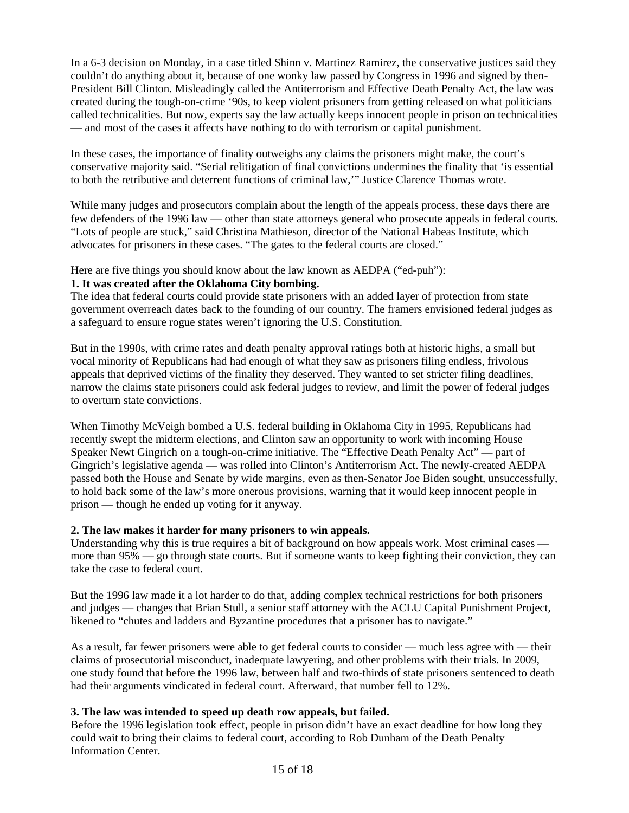In a 6-3 decision on Monday, in a case titled Shinn v. Martinez Ramirez, the conservative justices said they couldn't do anything about it, because of one wonky law passed by Congress in 1996 and signed by then-President Bill Clinton. Misleadingly called the Antiterrorism and Effective Death Penalty Act, the law was created during the tough-on-crime '90s, to keep violent prisoners from getting released on what politicians called technicalities. But now, experts say the law actually keeps innocent people in prison on technicalities — and most of the cases it affects have nothing to do with terrorism or capital punishment.

In these cases, the importance of finality outweighs any claims the prisoners might make, the court's conservative majority said. "Serial relitigation of final convictions undermines the finality that 'is essential to both the retributive and deterrent functions of criminal law,'" Justice Clarence Thomas wrote.

While many judges and prosecutors complain about the length of the appeals process, these days there are few defenders of the 1996 law — other than state attorneys general who prosecute appeals in federal courts. "Lots of people are stuck," said Christina Mathieson, director of the National Habeas Institute, which advocates for prisoners in these cases. "The gates to the federal courts are closed."

# Here are five things you should know about the law known as AEDPA ("ed-puh"):

## **1. It was created after the Oklahoma City bombing.**

The idea that federal courts could provide state prisoners with an added layer of protection from state government overreach dates back to the founding of our country. The framers envisioned federal judges as a safeguard to ensure rogue states weren't ignoring the U.S. Constitution.

But in the 1990s, with crime rates and death penalty approval ratings both at historic highs, a small but vocal minority of Republicans had had enough of what they saw as prisoners filing endless, frivolous appeals that deprived victims of the finality they deserved. They wanted to set stricter filing deadlines, narrow the claims state prisoners could ask federal judges to review, and limit the power of federal judges to overturn state convictions.

When Timothy McVeigh bombed a U.S. federal building in Oklahoma City in 1995, Republicans had recently swept the midterm elections, and Clinton saw an opportunity to work with incoming House Speaker Newt Gingrich on a tough-on-crime initiative. The "Effective Death Penalty Act" — part of Gingrich's legislative agenda — was rolled into Clinton's Antiterrorism Act. The newly-created AEDPA passed both the House and Senate by wide margins, even as then-Senator Joe Biden sought, unsuccessfully, to hold back some of the law's more onerous provisions, warning that it would keep innocent people in prison — though he ended up voting for it anyway.

#### **2. The law makes it harder for many prisoners to win appeals.**

Understanding why this is true requires a bit of background on how appeals work. Most criminal cases more than 95% — go through state courts. But if someone wants to keep fighting their conviction, they can take the case to federal court.

But the 1996 law made it a lot harder to do that, adding complex technical restrictions for both prisoners and judges — changes that Brian Stull, a senior staff attorney with the ACLU Capital Punishment Project, likened to "chutes and ladders and Byzantine procedures that a prisoner has to navigate."

As a result, far fewer prisoners were able to get federal courts to consider — much less agree with — their claims of prosecutorial misconduct, inadequate lawyering, and other problems with their trials. In 2009, one study found that before the 1996 law, between half and two-thirds of state prisoners sentenced to death had their arguments vindicated in federal court. Afterward, that number fell to 12%.

# **3. The law was intended to speed up death row appeals, but failed.**

Before the 1996 legislation took effect, people in prison didn't have an exact deadline for how long they could wait to bring their claims to federal court, according to Rob Dunham of the Death Penalty Information Center.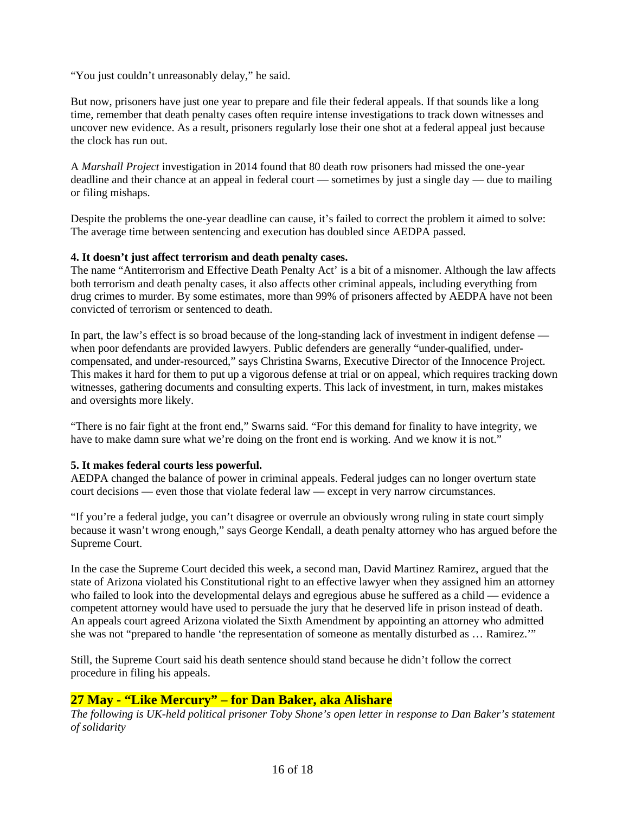"You just couldn't unreasonably delay," he said.

But now, prisoners have just one year to prepare and file their federal appeals. If that sounds like a long time, remember that death penalty cases often require intense investigations to track down witnesses and uncover new evidence. As a result, prisoners regularly lose their one shot at a federal appeal just because the clock has run out.

A *Marshall Project* investigation in 2014 found that 80 death row prisoners had missed the one-year deadline and their chance at an appeal in federal court — sometimes by just a single day — due to mailing or filing mishaps.

Despite the problems the one-year deadline can cause, it's failed to correct the problem it aimed to solve: The average time between sentencing and execution has doubled since AEDPA passed.

#### **4. It doesn't just affect terrorism and death penalty cases.**

The name "Antiterrorism and Effective Death Penalty Act' is a bit of a misnomer. Although the law affects both terrorism and death penalty cases, it also affects other criminal appeals, including everything from drug crimes to murder. By some estimates, more than 99% of prisoners affected by AEDPA have not been convicted of terrorism or sentenced to death.

In part, the law's effect is so broad because of the long-standing lack of investment in indigent defense when poor defendants are provided lawyers. Public defenders are generally "under-qualified, undercompensated, and under-resourced," says Christina Swarns, Executive Director of the Innocence Project. This makes it hard for them to put up a vigorous defense at trial or on appeal, which requires tracking down witnesses, gathering documents and consulting experts. This lack of investment, in turn, makes mistakes and oversights more likely.

"There is no fair fight at the front end," Swarns said. "For this demand for finality to have integrity, we have to make damn sure what we're doing on the front end is working. And we know it is not."

#### **5. It makes federal courts less powerful.**

AEDPA changed the balance of power in criminal appeals. Federal judges can no longer overturn state court decisions — even those that violate federal law — except in very narrow circumstances.

"If you're a federal judge, you can't disagree or overrule an obviously wrong ruling in state court simply because it wasn't wrong enough," says George Kendall, a death penalty attorney who has argued before the Supreme Court.

In the case the Supreme Court decided this week, a second man, David Martinez Ramirez, argued that the state of Arizona violated his Constitutional right to an effective lawyer when they assigned him an attorney who failed to look into the developmental delays and egregious abuse he suffered as a child — evidence a competent attorney would have used to persuade the jury that he deserved life in prison instead of death. An appeals court agreed Arizona violated the Sixth Amendment by appointing an attorney who admitted she was not "prepared to handle 'the representation of someone as mentally disturbed as … Ramirez.'"

Still, the Supreme Court said his death sentence should stand because he didn't follow the correct procedure in filing his appeals.

#### **27 May - "Like Mercury" – for Dan Baker, aka Alishare**

*The following is UK-held political prisoner Toby Shone's open letter in response to Dan Baker's statement of solidarity*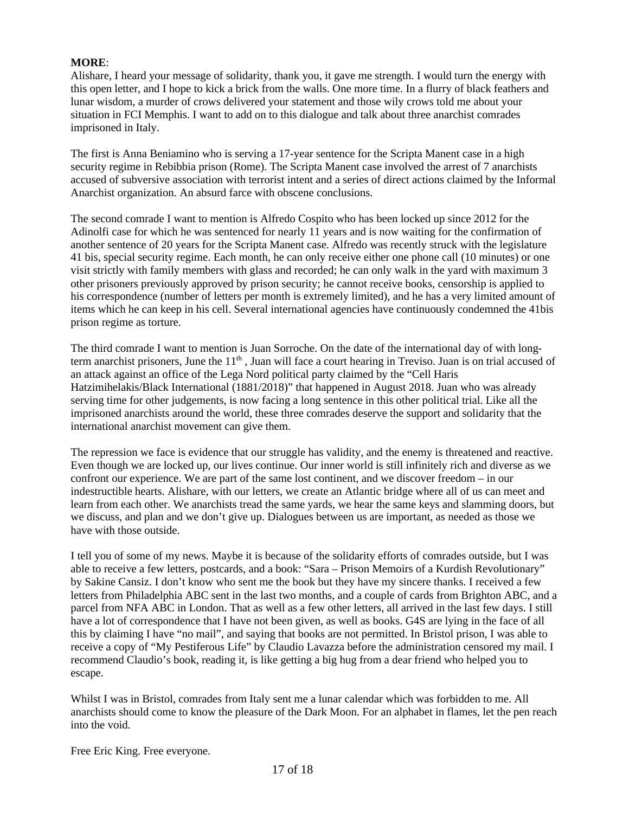#### **MORE**:

Alishare, I heard your message of solidarity, thank you, it gave me strength. I would turn the energy with this open letter, and I hope to kick a brick from the walls. One more time. In a flurry of black feathers and lunar wisdom, a murder of crows delivered your statement and those wily crows told me about your situation in FCI Memphis. I want to add on to this dialogue and talk about three anarchist comrades imprisoned in Italy.

The first is Anna Beniamino who is serving a 17-year sentence for the Scripta Manent case in a high security regime in Rebibbia prison (Rome). The Scripta Manent case involved the arrest of 7 anarchists accused of subversive association with terrorist intent and a series of direct actions claimed by the Informal Anarchist organization. An absurd farce with obscene conclusions.

The second comrade I want to mention is Alfredo Cospito who has been locked up since 2012 for the Adinolfi case for which he was sentenced for nearly 11 years and is now waiting for the confirmation of another sentence of 20 years for the Scripta Manent case. Alfredo was recently struck with the legislature 41 bis, special security regime. Each month, he can only receive either one phone call (10 minutes) or one visit strictly with family members with glass and recorded; he can only walk in the yard with maximum 3 other prisoners previously approved by prison security; he cannot receive books, censorship is applied to his correspondence (number of letters per month is extremely limited), and he has a very limited amount of items which he can keep in his cell. Several international agencies have continuously condemned the 41bis prison regime as torture.

The third comrade I want to mention is Juan Sorroche. On the date of the international day of with longterm anarchist prisoners, June the  $11<sup>th</sup>$ , Juan will face a court hearing in Treviso. Juan is on trial accused of an attack against an office of the Lega Nord political party claimed by the "Cell Haris Hatzimihelakis/Black International (1881/2018)" that happened in August 2018. Juan who was already serving time for other judgements, is now facing a long sentence in this other political trial. Like all the imprisoned anarchists around the world, these three comrades deserve the support and solidarity that the international anarchist movement can give them.

The repression we face is evidence that our struggle has validity, and the enemy is threatened and reactive. Even though we are locked up, our lives continue. Our inner world is still infinitely rich and diverse as we confront our experience. We are part of the same lost continent, and we discover freedom – in our indestructible hearts. Alishare, with our letters, we create an Atlantic bridge where all of us can meet and learn from each other. We anarchists tread the same yards, we hear the same keys and slamming doors, but we discuss, and plan and we don't give up. Dialogues between us are important, as needed as those we have with those outside.

I tell you of some of my news. Maybe it is because of the solidarity efforts of comrades outside, but I was able to receive a few letters, postcards, and a book: "Sara – Prison Memoirs of a Kurdish Revolutionary" by Sakine Cansiz. I don't know who sent me the book but they have my sincere thanks. I received a few letters from Philadelphia ABC sent in the last two months, and a couple of cards from Brighton ABC, and a parcel from NFA ABC in London. That as well as a few other letters, all arrived in the last few days. I still have a lot of correspondence that I have not been given, as well as books. G4S are lying in the face of all this by claiming I have "no mail", and saying that books are not permitted. In Bristol prison, I was able to receive a copy of "My Pestiferous Life" by Claudio Lavazza before the administration censored my mail. I recommend Claudio's book, reading it, is like getting a big hug from a dear friend who helped you to escape.

Whilst I was in Bristol, comrades from Italy sent me a lunar calendar which was forbidden to me. All anarchists should come to know the pleasure of the Dark Moon. For an alphabet in flames, let the pen reach into the void.

Free Eric King. Free everyone.